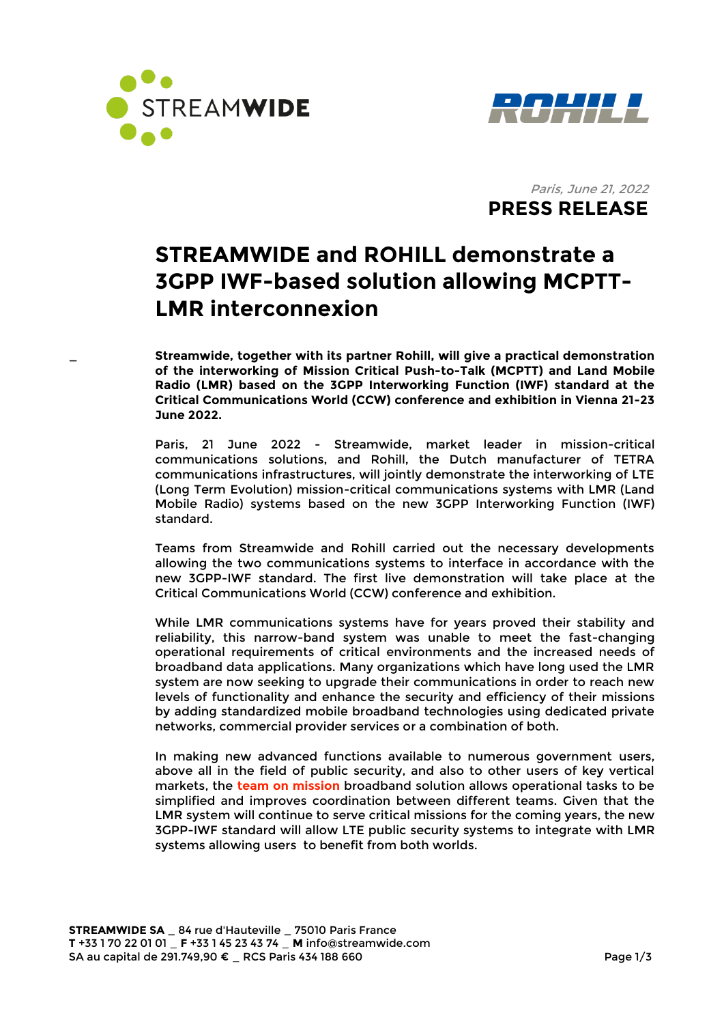



Paris, June 21, 2022  **PRESS RELEASE** 

# **STREAMWIDE and ROHILL demonstrate a 3GPP IWF-based solution allowing MCPTT-LMR interconnexion**

**\_ Streamwide, together with its partner Rohill, will give a practical demonstration of the interworking of Mission Critical Push-to-Talk (MCPTT) and Land Mobile Radio (LMR) based on the 3GPP Interworking Function (IWF) standard at the Critical Communications World (CCW) conference and exhibition in Vienna 21-23 June 2022.**

Paris, 21 June 2022 - Streamwide, market leader in mission-critical communications solutions, and Rohill, the Dutch manufacturer of TETRA communications infrastructures, will jointly demonstrate the interworking of LTE (Long Term Evolution) mission-critical communications systems with LMR (Land Mobile Radio) systems based on the new 3GPP Interworking Function (IWF) standard.

Teams from Streamwide and Rohill carried out the necessary developments allowing the two communications systems to interface in accordance with the new 3GPP-IWF standard. The first live demonstration will take place at the Critical Communications World (CCW) conference and exhibition.

While LMR communications systems have for years proved their stability and reliability, this narrow-band system was unable to meet the fast-changing operational requirements of critical environments and the increased needs of broadband data applications. Many organizations which have long used the LMR system are now seeking to upgrade their communications in order to reach new levels of functionality and enhance the security and efficiency of their missions by adding standardized mobile broadband technologies using dedicated private networks, commercial provider services or a combination of both.

In making new advanced functions available to numerous government users, above all in the field of public security, and also to other users of key vertical markets, the **team on mission** broadband solution allows operational tasks to be simplified and improves coordination between different teams. Given that the LMR system will continue to serve critical missions for the coming years, the new 3GPP-IWF standard will allow LTE public security systems to integrate with LMR systems allowing users to benefit from both worlds.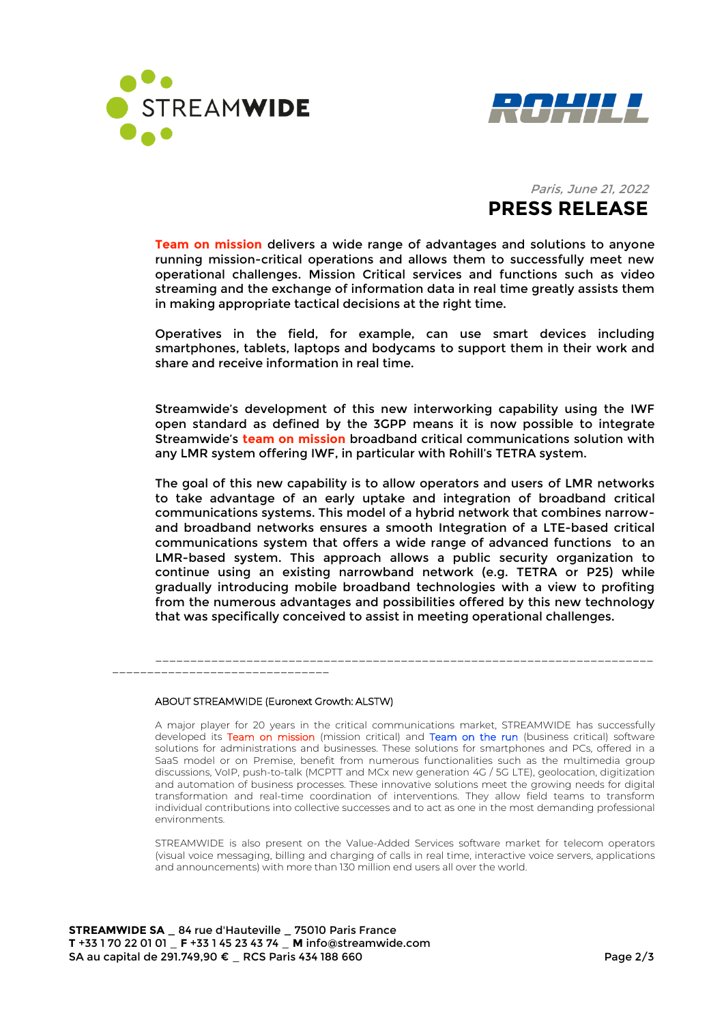



# Paris, June 21, 2022  **PRESS RELEASE**

**Team on mission** delivers a wide range of advantages and solutions to anyone running mission-critical operations and allows them to successfully meet new operational challenges. Mission Critical services and functions such as video streaming and the exchange of information data in real time greatly assists them in making appropriate tactical decisions at the right time.

Operatives in the field, for example, can use smart devices including smartphones, tablets, laptops and bodycams to support them in their work and share and receive information in real time.

Streamwide's development of this new interworking capability using the IWF open standard as defined by the 3GPP means it is now possible to integrate Streamwide's **team on mission** broadband critical communications solution with any LMR system offering IWF, in particular with Rohill's TETRA system.

The goal of this new capability is to allow operators and users of LMR networks to take advantage of an early uptake and integration of broadband critical communications systems. This model of a hybrid network that combines narrowand broadband networks ensures a smooth Integration of a LTE-based critical communications system that offers a wide range of advanced functions to an LMR-based system. This approach allows a public security organization to continue using an existing narrowband network (e.g. TETRA or P25) while gradually introducing mobile broadband technologies with a view to profiting from the numerous advantages and possibilities offered by this new technology that was specifically conceived to assist in meeting operational challenges.

\_\_\_\_\_\_\_\_\_\_\_\_\_\_\_\_\_\_\_\_\_\_\_\_\_\_\_\_\_\_\_\_\_\_\_\_\_\_\_\_\_\_\_\_\_\_\_\_\_\_\_\_\_\_\_\_\_\_\_\_\_\_\_\_\_\_\_\_\_\_\_

\_\_\_\_\_\_\_\_\_\_\_\_\_\_\_\_\_\_\_\_\_\_\_\_\_\_\_\_\_\_\_

#### ABOUT STREAMWIDE (Euronext Growth: ALSTW)

A major player for 20 years in the critical communications market, STREAMWIDE has successfully developed its Team on mission (mission critical) and Team on the run (business critical) software solutions for administrations and businesses. These solutions for smartphones and PCs, offered in a SaaS model or on Premise, benefit from numerous functionalities such as the multimedia group discussions, VoIP, push-to-talk (MCPTT and MCx new generation 4G / 5G LTE), geolocation, digitization and automation of business processes. These innovative solutions meet the growing needs for digital transformation and real-time coordination of interventions. They allow field teams to transform individual contributions into collective successes and to act as one in the most demanding professional environments.

STREAMWIDE is also present on the Value-Added Services software market for telecom operators (visual voice messaging, billing and charging of calls in real time, interactive voice servers, applications and announcements) with more than 130 million end users all over the world.